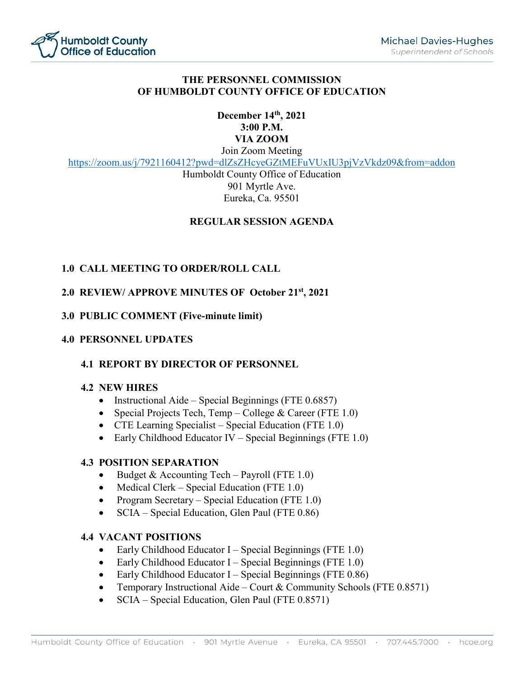

# **THE PERSONNEL COMMISSION OF HUMBOLDT COUNTY OFFICE OF EDUCATION**

# **December 14th, 2021 3:00 P.M. VIA ZOOM** Join Zoom Meeting

<https://zoom.us/j/7921160412?pwd=dlZsZHcyeGZtMEFuVUxIU3pjVzVkdz09&from=addon>

Humboldt County Office of Education 901 Myrtle Ave. Eureka, Ca. 95501

# **REGULAR SESSION AGENDA**

# **1.0 CALL MEETING TO ORDER/ROLL CALL**

# **2.0 REVIEW/ APPROVE MINUTES OF October 21st, 2021**

**3.0 PUBLIC COMMENT (Five-minute limit)**

### **4.0 PERSONNEL UPDATES**

# **4.1 REPORT BY DIRECTOR OF PERSONNEL**

#### **4.2 NEW HIRES**

- Instructional Aide Special Beginnings (FTE 0.6857)
- Special Projects Tech, Temp College & Career (FTE 1.0)
- CTE Learning Specialist Special Education (FTE 1.0)
- Early Childhood Educator IV Special Beginnings (FTE 1.0)

#### **4.3 POSITION SEPARATION**

- Budget & Accounting Tech Payroll (FTE  $1.0$ )
- Medical Clerk Special Education (FTE 1.0)
- Program Secretary Special Education (FTE 1.0)
- SCIA Special Education, Glen Paul (FTE 0.86)

# **4.4 VACANT POSITIONS**

- Early Childhood Educator I Special Beginnings (FTE  $1.0$ )
- Early Childhood Educator I Special Beginnings (FTE  $1.0$ )
- Early Childhood Educator I Special Beginnings (FTE  $0.86$ )
- Temporary Instructional Aide Court & Community Schools (FTE 0.8571)
- SCIA Special Education, Glen Paul (FTE 0.8571)